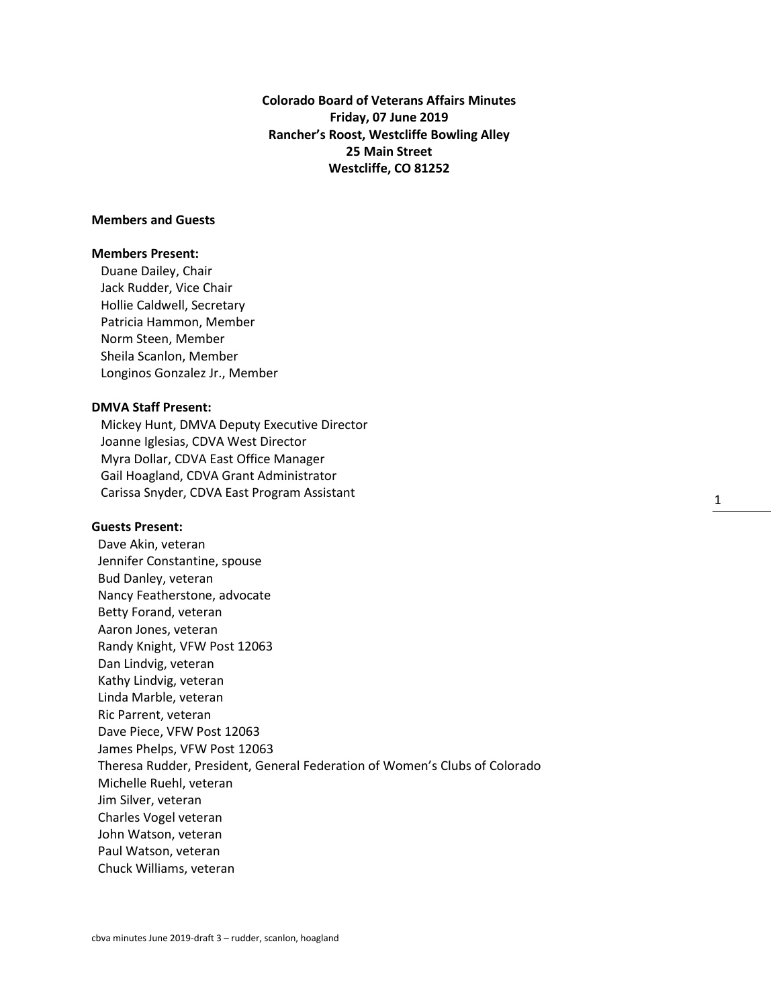**Colorado Board of Veterans Affairs Minutes Friday, 07 June 2019 Rancher's Roost, Westcliffe Bowling Alley 25 Main Street Westcliffe, CO 81252**

1

# **Members and Guests**

#### **Members Present:**

Duane Dailey, Chair Jack Rudder, Vice Chair Hollie Caldwell, Secretary Patricia Hammon, Member Norm Steen, Member Sheila Scanlon, Member Longinos Gonzalez Jr., Member

### **DMVA Staff Present:**

Mickey Hunt, DMVA Deputy Executive Director Joanne Iglesias, CDVA West Director Myra Dollar, CDVA East Office Manager Gail Hoagland, CDVA Grant Administrator Carissa Snyder, CDVA East Program Assistant

#### **Guests Present:**

 Dave Akin, veteran Jennifer Constantine, spouse Bud Danley, veteran Nancy Featherstone, advocate Betty Forand, veteran Aaron Jones, veteran Randy Knight, VFW Post 12063 Dan Lindvig, veteran Kathy Lindvig, veteran Linda Marble, veteran Ric Parrent, veteran Dave Piece, VFW Post 12063 James Phelps, VFW Post 12063 Theresa Rudder, President, General Federation of Women's Clubs of Colorado Michelle Ruehl, veteran Jim Silver, veteran Charles Vogel veteran John Watson, veteran Paul Watson, veteran Chuck Williams, veteran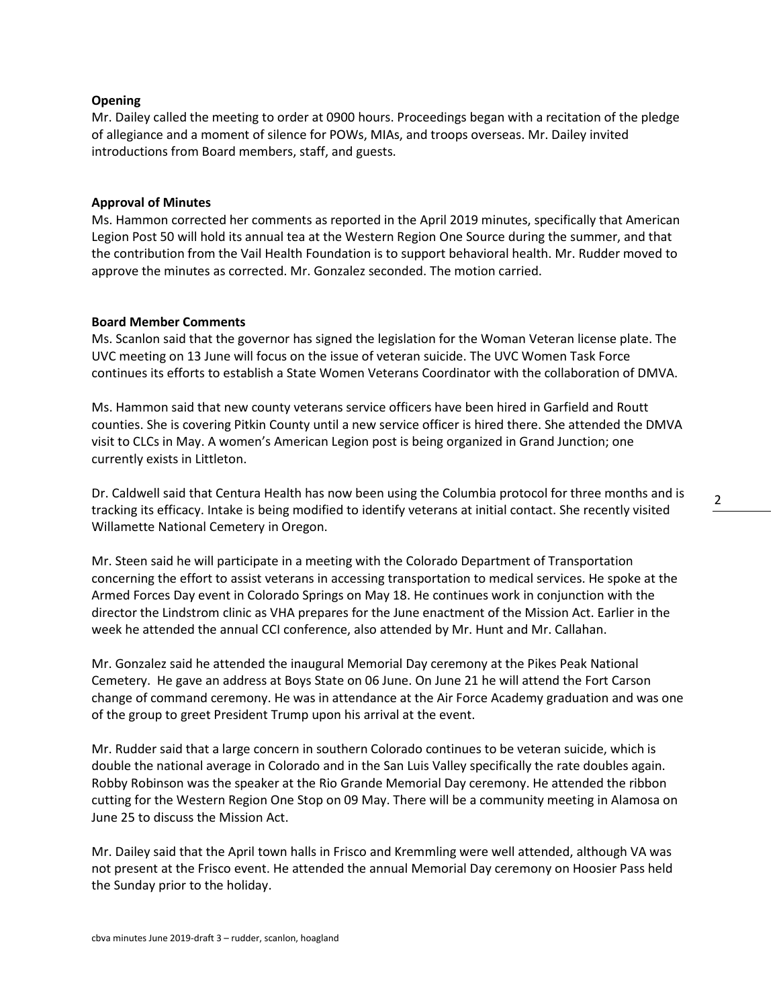# **Opening**

Mr. Dailey called the meeting to order at 0900 hours. Proceedings began with a recitation of the pledge of allegiance and a moment of silence for POWs, MIAs, and troops overseas. Mr. Dailey invited introductions from Board members, staff, and guests.

# **Approval of Minutes**

Ms. Hammon corrected her comments as reported in the April 2019 minutes, specifically that American Legion Post 50 will hold its annual tea at the Western Region One Source during the summer, and that the contribution from the Vail Health Foundation is to support behavioral health. Mr. Rudder moved to approve the minutes as corrected. Mr. Gonzalez seconded. The motion carried.

# **Board Member Comments**

Ms. Scanlon said that the governor has signed the legislation for the Woman Veteran license plate. The UVC meeting on 13 June will focus on the issue of veteran suicide. The UVC Women Task Force continues its efforts to establish a State Women Veterans Coordinator with the collaboration of DMVA.

Ms. Hammon said that new county veterans service officers have been hired in Garfield and Routt counties. She is covering Pitkin County until a new service officer is hired there. She attended the DMVA visit to CLCs in May. A women's American Legion post is being organized in Grand Junction; one currently exists in Littleton.

Dr. Caldwell said that Centura Health has now been using the Columbia protocol for three months and is tracking its efficacy. Intake is being modified to identify veterans at initial contact. She recently visited Willamette National Cemetery in Oregon.

Mr. Steen said he will participate in a meeting with the Colorado Department of Transportation concerning the effort to assist veterans in accessing transportation to medical services. He spoke at the Armed Forces Day event in Colorado Springs on May 18. He continues work in conjunction with the director the Lindstrom clinic as VHA prepares for the June enactment of the Mission Act. Earlier in the week he attended the annual CCI conference, also attended by Mr. Hunt and Mr. Callahan.

Mr. Gonzalez said he attended the inaugural Memorial Day ceremony at the Pikes Peak National Cemetery. He gave an address at Boys State on 06 June. On June 21 he will attend the Fort Carson change of command ceremony. He was in attendance at the Air Force Academy graduation and was one of the group to greet President Trump upon his arrival at the event.

Mr. Rudder said that a large concern in southern Colorado continues to be veteran suicide, which is double the national average in Colorado and in the San Luis Valley specifically the rate doubles again. Robby Robinson was the speaker at the Rio Grande Memorial Day ceremony. He attended the ribbon cutting for the Western Region One Stop on 09 May. There will be a community meeting in Alamosa on June 25 to discuss the Mission Act.

Mr. Dailey said that the April town halls in Frisco and Kremmling were well attended, although VA was not present at the Frisco event. He attended the annual Memorial Day ceremony on Hoosier Pass held the Sunday prior to the holiday.

2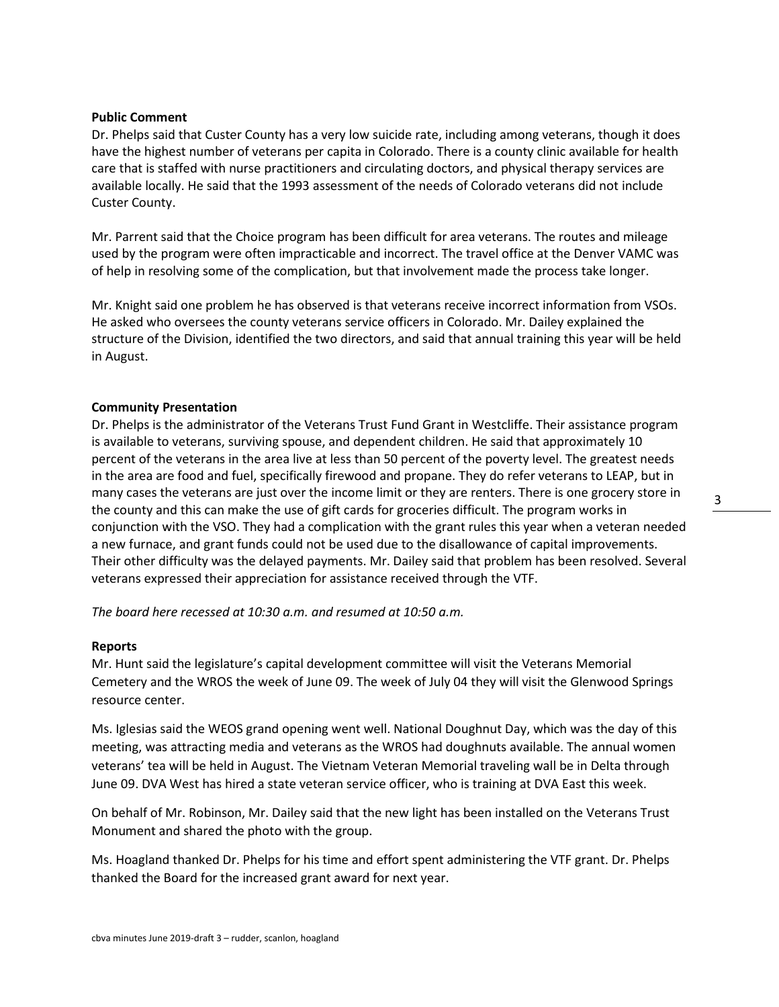### **Public Comment**

Dr. Phelps said that Custer County has a very low suicide rate, including among veterans, though it does have the highest number of veterans per capita in Colorado. There is a county clinic available for health care that is staffed with nurse practitioners and circulating doctors, and physical therapy services are available locally. He said that the 1993 assessment of the needs of Colorado veterans did not include Custer County.

Mr. Parrent said that the Choice program has been difficult for area veterans. The routes and mileage used by the program were often impracticable and incorrect. The travel office at the Denver VAMC was of help in resolving some of the complication, but that involvement made the process take longer.

Mr. Knight said one problem he has observed is that veterans receive incorrect information from VSOs. He asked who oversees the county veterans service officers in Colorado. Mr. Dailey explained the structure of the Division, identified the two directors, and said that annual training this year will be held in August.

### **Community Presentation**

Dr. Phelps is the administrator of the Veterans Trust Fund Grant in Westcliffe. Their assistance program is available to veterans, surviving spouse, and dependent children. He said that approximately 10 percent of the veterans in the area live at less than 50 percent of the poverty level. The greatest needs in the area are food and fuel, specifically firewood and propane. They do refer veterans to LEAP, but in many cases the veterans are just over the income limit or they are renters. There is one grocery store in the county and this can make the use of gift cards for groceries difficult. The program works in conjunction with the VSO. They had a complication with the grant rules this year when a veteran needed a new furnace, and grant funds could not be used due to the disallowance of capital improvements. Their other difficulty was the delayed payments. Mr. Dailey said that problem has been resolved. Several veterans expressed their appreciation for assistance received through the VTF.

*The board here recessed at 10:30 a.m. and resumed at 10:50 a.m.*

### **Reports**

Mr. Hunt said the legislature's capital development committee will visit the Veterans Memorial Cemetery and the WROS the week of June 09. The week of July 04 they will visit the Glenwood Springs resource center.

Ms. Iglesias said the WEOS grand opening went well. National Doughnut Day, which was the day of this meeting, was attracting media and veterans as the WROS had doughnuts available. The annual women veterans' tea will be held in August. The Vietnam Veteran Memorial traveling wall be in Delta through June 09. DVA West has hired a state veteran service officer, who is training at DVA East this week.

On behalf of Mr. Robinson, Mr. Dailey said that the new light has been installed on the Veterans Trust Monument and shared the photo with the group.

Ms. Hoagland thanked Dr. Phelps for his time and effort spent administering the VTF grant. Dr. Phelps thanked the Board for the increased grant award for next year.